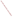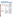# **Coyote Valley Reservation**



For a copy of the Coyote Valley Reservation 1994 305(b) report, contact:

**Jean Hunt or Eddie Knight** The Coyote Valley Reservation P.O. Box 39 Redwood Valley, CA 95470

**Surface Water Quality**

The Coyote Valley Band of the Pomo Indians is a federally recognized Indian Tribe, living on a 57-acre parcel of land in Mendocino County, California. Segments of the Russian River and Forsythe Creek flow past the Reservation, although flow diminishes in the summer and fall. Fishing, recreation, and religion are important uses for surface waters within the Reservation.

Currently, the Tribe is concerned about bacteria contamination in the Russian River, potential contamination of Forsythe Creek from a malfunctioning septic system leachfield, and habitat modifications in both streams that impact aquatic life. Past gravel mining operations removed gravel spawning beds, altered flow, and created very steep banks. In the past, upstream mining also elevated turbidity in Forsythe Creek. The Tribe is also concerned about a potential trend of increasing pH values and high water temperatures in Forsythe Creek during the summer.

#### **Ground Water Quality**

The Coyote Valley Reservation contains three known wells, but only two wells are operable, and only one well is in use. The old shallow irrigation well (Well A) was abandoned because it went dry after the gravel mining operation on Forsythe Creek lowered the water table. Well B, located adjacent to Forsythe Creek, is used to irrigate a walnut orchard. Well C, located on a ridge next to the Reservation's housing units, is not in use due to severe iron and taste problems. Sampling also detected high levels of barium, total dissolved solids, manganese, and conductivity in Wells B and C. However, samples from Well B did not contain organic chemicals, pesticides, or nitrate in detectable